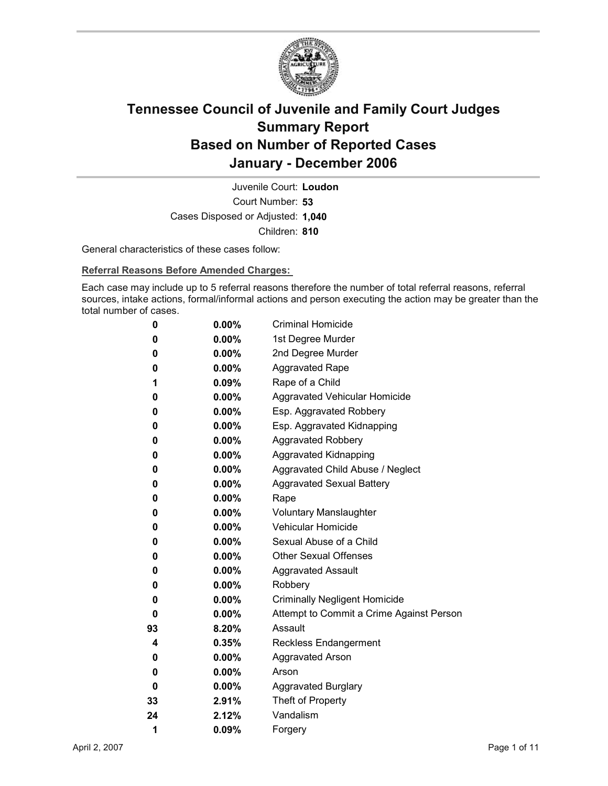

Court Number: **53** Juvenile Court: **Loudon** Cases Disposed or Adjusted: **1,040** Children: **810**

General characteristics of these cases follow:

**Referral Reasons Before Amended Charges:** 

Each case may include up to 5 referral reasons therefore the number of total referral reasons, referral sources, intake actions, formal/informal actions and person executing the action may be greater than the total number of cases.

| 0  | $0.00\%$ | <b>Criminal Homicide</b>                 |
|----|----------|------------------------------------------|
| 0  | $0.00\%$ | 1st Degree Murder                        |
| 0  | $0.00\%$ | 2nd Degree Murder                        |
| 0  | $0.00\%$ | <b>Aggravated Rape</b>                   |
| 1  | $0.09\%$ | Rape of a Child                          |
| 0  | $0.00\%$ | Aggravated Vehicular Homicide            |
| 0  | $0.00\%$ | Esp. Aggravated Robbery                  |
| 0  | $0.00\%$ | Esp. Aggravated Kidnapping               |
| 0  | $0.00\%$ | Aggravated Robbery                       |
| 0  | $0.00\%$ | <b>Aggravated Kidnapping</b>             |
| 0  | $0.00\%$ | Aggravated Child Abuse / Neglect         |
| 0  | $0.00\%$ | <b>Aggravated Sexual Battery</b>         |
| 0  | $0.00\%$ | Rape                                     |
| 0  | $0.00\%$ | <b>Voluntary Manslaughter</b>            |
| 0  | $0.00\%$ | <b>Vehicular Homicide</b>                |
| 0  | $0.00\%$ | Sexual Abuse of a Child                  |
| 0  | $0.00\%$ | <b>Other Sexual Offenses</b>             |
| 0  | $0.00\%$ | <b>Aggravated Assault</b>                |
| 0  | $0.00\%$ | Robbery                                  |
| 0  | $0.00\%$ | <b>Criminally Negligent Homicide</b>     |
| 0  | $0.00\%$ | Attempt to Commit a Crime Against Person |
| 93 | $8.20\%$ | Assault                                  |
| 4  | 0.35%    | <b>Reckless Endangerment</b>             |
| 0  | $0.00\%$ | <b>Aggravated Arson</b>                  |
| 0  | $0.00\%$ | Arson                                    |
| 0  | $0.00\%$ | <b>Aggravated Burglary</b>               |
| 33 | 2.91%    | Theft of Property                        |
| 24 | $2.12\%$ | Vandalism                                |
| 1  | 0.09%    | Forgery                                  |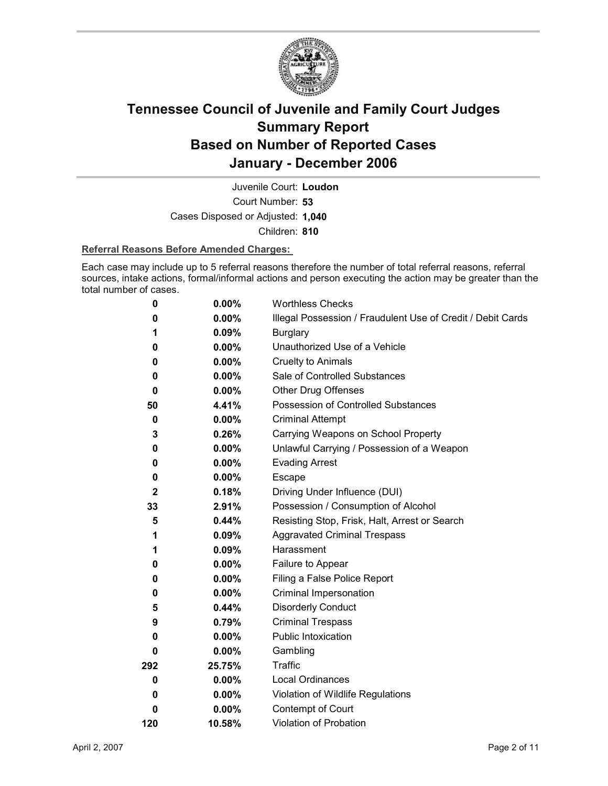

Court Number: **53** Juvenile Court: **Loudon** Cases Disposed or Adjusted: **1,040** Children: **810**

#### **Referral Reasons Before Amended Charges:**

Each case may include up to 5 referral reasons therefore the number of total referral reasons, referral sources, intake actions, formal/informal actions and person executing the action may be greater than the total number of cases.

| 0            | 0.00%    | <b>Worthless Checks</b>                                     |
|--------------|----------|-------------------------------------------------------------|
| 0            | 0.00%    | Illegal Possession / Fraudulent Use of Credit / Debit Cards |
| 1            | 0.09%    | <b>Burglary</b>                                             |
| 0            | $0.00\%$ | Unauthorized Use of a Vehicle                               |
| 0            | $0.00\%$ | <b>Cruelty to Animals</b>                                   |
| 0            | $0.00\%$ | Sale of Controlled Substances                               |
| 0            | $0.00\%$ | <b>Other Drug Offenses</b>                                  |
| 50           | 4.41%    | Possession of Controlled Substances                         |
| 0            | $0.00\%$ | <b>Criminal Attempt</b>                                     |
| 3            | 0.26%    | Carrying Weapons on School Property                         |
| 0            | $0.00\%$ | Unlawful Carrying / Possession of a Weapon                  |
| 0            | 0.00%    | <b>Evading Arrest</b>                                       |
| 0            | $0.00\%$ | Escape                                                      |
| $\mathbf{2}$ | 0.18%    | Driving Under Influence (DUI)                               |
| 33           | 2.91%    | Possession / Consumption of Alcohol                         |
| 5            | $0.44\%$ | Resisting Stop, Frisk, Halt, Arrest or Search               |
| 1            | 0.09%    | <b>Aggravated Criminal Trespass</b>                         |
| 1            | $0.09\%$ | Harassment                                                  |
| 0            | $0.00\%$ | Failure to Appear                                           |
| 0            | 0.00%    | Filing a False Police Report                                |
| 0            | $0.00\%$ | Criminal Impersonation                                      |
| 5            | 0.44%    | <b>Disorderly Conduct</b>                                   |
| 9            | 0.79%    | <b>Criminal Trespass</b>                                    |
| 0            | $0.00\%$ | Public Intoxication                                         |
| 0            | $0.00\%$ | Gambling                                                    |
| 292          | 25.75%   | <b>Traffic</b>                                              |
| 0            | $0.00\%$ | <b>Local Ordinances</b>                                     |
| 0            | $0.00\%$ | Violation of Wildlife Regulations                           |
| 0            | $0.00\%$ | Contempt of Court                                           |
| 120          | 10.58%   | Violation of Probation                                      |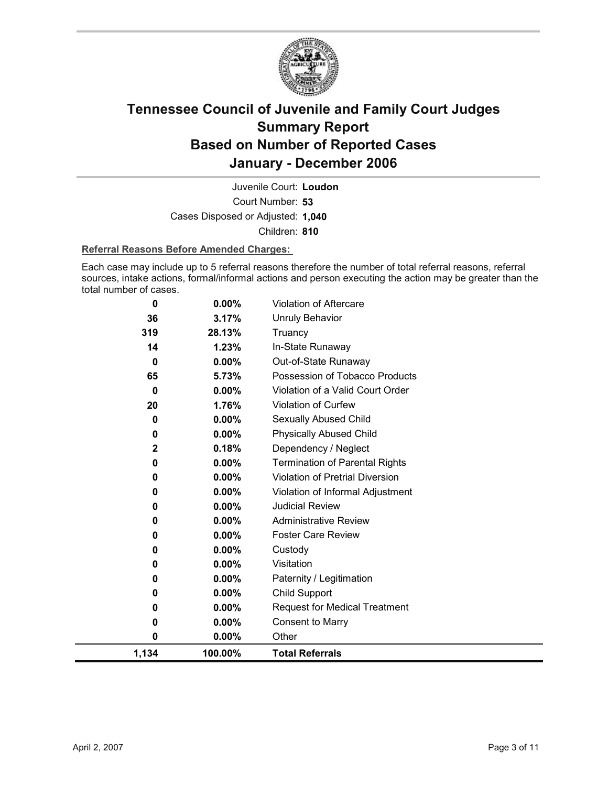

Court Number: **53** Juvenile Court: **Loudon** Cases Disposed or Adjusted: **1,040** Children: **810**

#### **Referral Reasons Before Amended Charges:**

Each case may include up to 5 referral reasons therefore the number of total referral reasons, referral sources, intake actions, formal/informal actions and person executing the action may be greater than the total number of cases.

| 0           | 0.00%    | <b>Violation of Aftercare</b>          |
|-------------|----------|----------------------------------------|
| 36          | 3.17%    | Unruly Behavior                        |
| 319         | 28.13%   | Truancy                                |
| 14          | 1.23%    | In-State Runaway                       |
| 0           | $0.00\%$ | Out-of-State Runaway                   |
| 65          | 5.73%    | Possession of Tobacco Products         |
| 0           | $0.00\%$ | Violation of a Valid Court Order       |
| 20          | 1.76%    | Violation of Curfew                    |
| 0           | 0.00%    | Sexually Abused Child                  |
| 0           | $0.00\%$ | <b>Physically Abused Child</b>         |
| $\mathbf 2$ | 0.18%    | Dependency / Neglect                   |
| 0           | 0.00%    | <b>Termination of Parental Rights</b>  |
| 0           | 0.00%    | <b>Violation of Pretrial Diversion</b> |
| 0           | $0.00\%$ | Violation of Informal Adjustment       |
| 0           | 0.00%    | <b>Judicial Review</b>                 |
| 0           | 0.00%    | <b>Administrative Review</b>           |
| 0           | $0.00\%$ | <b>Foster Care Review</b>              |
| 0           | $0.00\%$ | Custody                                |
| 0           | 0.00%    | Visitation                             |
| 0           | 0.00%    | Paternity / Legitimation               |
| 0           | 0.00%    | Child Support                          |
| 0           | $0.00\%$ | <b>Request for Medical Treatment</b>   |
| 0           | $0.00\%$ | <b>Consent to Marry</b>                |
| 0           | 0.00%    | Other                                  |
| 1,134       | 100.00%  | <b>Total Referrals</b>                 |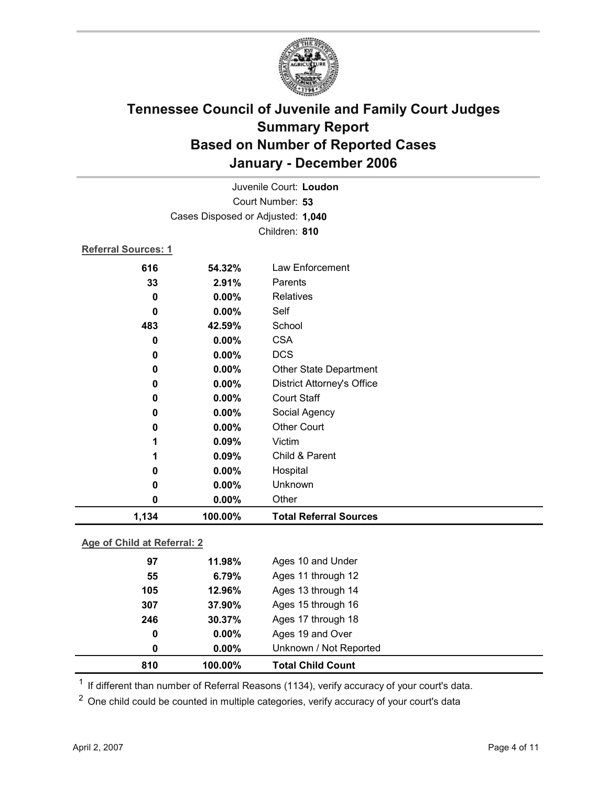

| Juvenile Court: Loudon            |          |                                   |  |
|-----------------------------------|----------|-----------------------------------|--|
| Court Number: 53                  |          |                                   |  |
| Cases Disposed or Adjusted: 1,040 |          |                                   |  |
|                                   |          | Children: 810                     |  |
| <b>Referral Sources: 1</b>        |          |                                   |  |
| 616                               | 54.32%   | Law Enforcement                   |  |
| 33                                | 2.91%    | Parents                           |  |
| 0                                 | $0.00\%$ | Relatives                         |  |
| 0                                 | $0.00\%$ | Self                              |  |
| 483                               | 42.59%   | School                            |  |
| 0                                 | 0.00%    | <b>CSA</b>                        |  |
| 0                                 | 0.00%    | <b>DCS</b>                        |  |
| 0                                 | 0.00%    | <b>Other State Department</b>     |  |
| 0                                 | 0.00%    | <b>District Attorney's Office</b> |  |
| 0                                 | 0.00%    | <b>Court Staff</b>                |  |
| 0                                 | 0.00%    | Social Agency                     |  |
| 0                                 | 0.00%    | <b>Other Court</b>                |  |
| 1                                 | 0.09%    | Victim                            |  |
| 1                                 | 0.09%    | Child & Parent                    |  |
| 0                                 | 0.00%    | Hospital                          |  |
| 0                                 | 0.00%    | Unknown                           |  |
| 0                                 | $0.00\%$ | Other                             |  |
| 1,134                             | 100.00%  | <b>Total Referral Sources</b>     |  |

### **Age of Child at Referral: 2**

| 810 | 100.00%  | <b>Total Child Count</b> |
|-----|----------|--------------------------|
| 0   | $0.00\%$ | Unknown / Not Reported   |
| 0   | $0.00\%$ | Ages 19 and Over         |
| 246 | 30.37%   | Ages 17 through 18       |
| 307 | 37.90%   | Ages 15 through 16       |
| 105 | 12.96%   | Ages 13 through 14       |
| 55  | 6.79%    | Ages 11 through 12       |
| 97  | 11.98%   | Ages 10 and Under        |
|     |          |                          |

 $1$  If different than number of Referral Reasons (1134), verify accuracy of your court's data.

<sup>2</sup> One child could be counted in multiple categories, verify accuracy of your court's data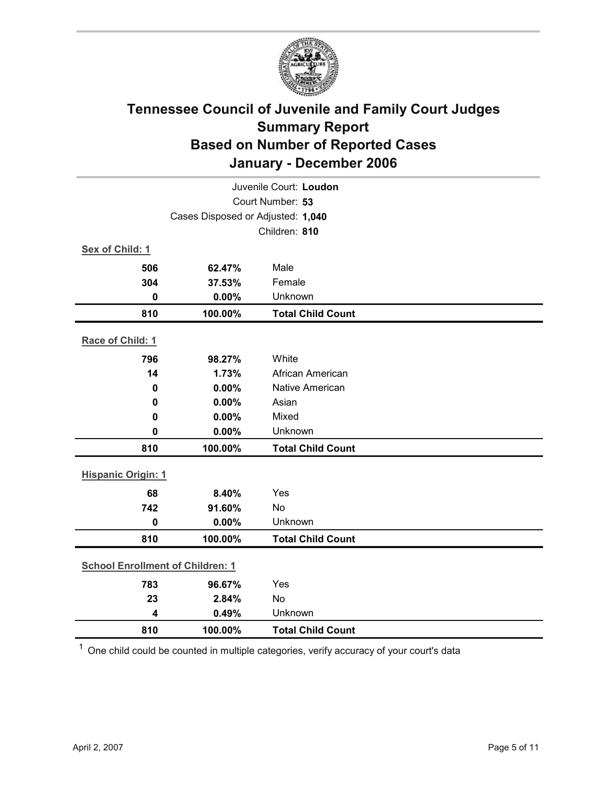

| Juvenile Court: Loudon                  |         |                          |  |  |
|-----------------------------------------|---------|--------------------------|--|--|
| Court Number: 53                        |         |                          |  |  |
| Cases Disposed or Adjusted: 1,040       |         |                          |  |  |
|                                         |         | Children: 810            |  |  |
| Sex of Child: 1                         |         |                          |  |  |
| 506                                     | 62.47%  | Male                     |  |  |
| 304                                     | 37.53%  | Female                   |  |  |
| $\mathbf 0$                             | 0.00%   | Unknown                  |  |  |
| 810                                     | 100.00% | <b>Total Child Count</b> |  |  |
| Race of Child: 1                        |         |                          |  |  |
| 796                                     | 98.27%  | White                    |  |  |
| 14                                      | 1.73%   | African American         |  |  |
| $\mathbf 0$                             | 0.00%   | <b>Native American</b>   |  |  |
| 0                                       | 0.00%   | Asian                    |  |  |
| 0                                       | 0.00%   | Mixed                    |  |  |
| 0                                       | 0.00%   | Unknown                  |  |  |
| 810                                     | 100.00% | <b>Total Child Count</b> |  |  |
| <b>Hispanic Origin: 1</b>               |         |                          |  |  |
| 68                                      | 8.40%   | Yes                      |  |  |
| 742                                     | 91.60%  | <b>No</b>                |  |  |
| $\mathbf 0$                             | 0.00%   | Unknown                  |  |  |
| 810                                     | 100.00% | <b>Total Child Count</b> |  |  |
| <b>School Enrollment of Children: 1</b> |         |                          |  |  |
| 783                                     | 96.67%  | Yes                      |  |  |
| 23                                      | 2.84%   | No                       |  |  |
| $\overline{\mathbf{4}}$                 | 0.49%   | Unknown                  |  |  |
| 810                                     | 100.00% | <b>Total Child Count</b> |  |  |

 $1$  One child could be counted in multiple categories, verify accuracy of your court's data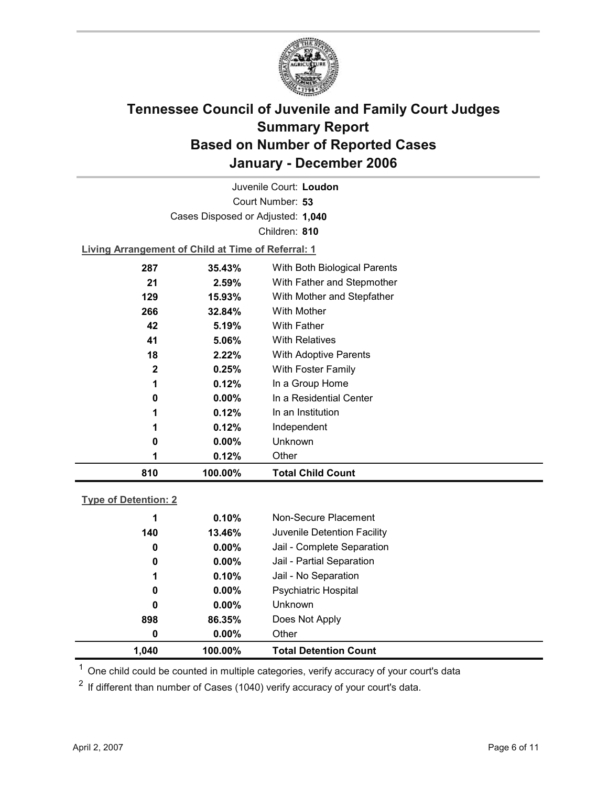

Court Number: **53** Juvenile Court: **Loudon** Cases Disposed or Adjusted: **1,040** Children: **810**

**Living Arrangement of Child at Time of Referral: 1**

| 810          | 100.00%  | <b>Total Child Count</b>     |
|--------------|----------|------------------------------|
| 1            | 0.12%    | Other                        |
| 0            | $0.00\%$ | Unknown                      |
| 1            | 0.12%    | Independent                  |
| 1            | 0.12%    | In an Institution            |
| 0            | $0.00\%$ | In a Residential Center      |
| 1            | 0.12%    | In a Group Home              |
| $\mathbf{2}$ | 0.25%    | With Foster Family           |
| 18           | 2.22%    | <b>With Adoptive Parents</b> |
| 41           | 5.06%    | <b>With Relatives</b>        |
| 42           | 5.19%    | <b>With Father</b>           |
| 266          | 32.84%   | With Mother                  |
| 129          | 15.93%   | With Mother and Stepfather   |
| 21           | $2.59\%$ | With Father and Stepmother   |
| 287          | 35.43%   | With Both Biological Parents |
|              |          |                              |

### **Type of Detention: 2**

| 1.040 | 100.00%  | <b>Total Detention Count</b> |  |
|-------|----------|------------------------------|--|
| 0     | $0.00\%$ | Other                        |  |
| 898   | 86.35%   | Does Not Apply               |  |
| 0     | $0.00\%$ | <b>Unknown</b>               |  |
| 0     | $0.00\%$ | <b>Psychiatric Hospital</b>  |  |
| 1     | 0.10%    | Jail - No Separation         |  |
| 0     | $0.00\%$ | Jail - Partial Separation    |  |
| 0     | $0.00\%$ | Jail - Complete Separation   |  |
| 140   | 13.46%   | Juvenile Detention Facility  |  |
| 1     | 0.10%    | Non-Secure Placement         |  |
|       |          |                              |  |

 $<sup>1</sup>$  One child could be counted in multiple categories, verify accuracy of your court's data</sup>

 $2$  If different than number of Cases (1040) verify accuracy of your court's data.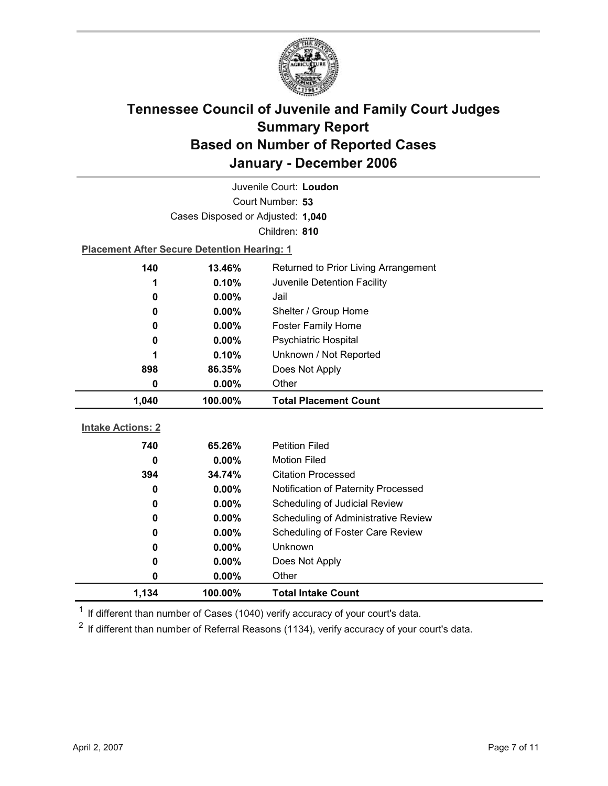

| Juvenile Court: Loudon            |                                                    |                                            |  |  |  |
|-----------------------------------|----------------------------------------------------|--------------------------------------------|--|--|--|
| Court Number: 53                  |                                                    |                                            |  |  |  |
| Cases Disposed or Adjusted: 1,040 |                                                    |                                            |  |  |  |
|                                   |                                                    | Children: 810                              |  |  |  |
|                                   | <b>Placement After Secure Detention Hearing: 1</b> |                                            |  |  |  |
| 140                               | 13.46%                                             | Returned to Prior Living Arrangement       |  |  |  |
| 1                                 | 0.10%                                              | Juvenile Detention Facility                |  |  |  |
| 0                                 | 0.00%                                              | Jail                                       |  |  |  |
| 0                                 | 0.00%                                              | Shelter / Group Home                       |  |  |  |
| 0                                 | $0.00\%$                                           | <b>Foster Family Home</b>                  |  |  |  |
| 0                                 | $0.00\%$                                           | Psychiatric Hospital                       |  |  |  |
| 1                                 | 0.10%                                              | Unknown / Not Reported                     |  |  |  |
| 898                               | 86.35%                                             | Does Not Apply                             |  |  |  |
| Other<br>$0.00\%$<br>0            |                                                    |                                            |  |  |  |
|                                   |                                                    |                                            |  |  |  |
| 1,040                             | 100.00%                                            | <b>Total Placement Count</b>               |  |  |  |
|                                   |                                                    |                                            |  |  |  |
| <b>Intake Actions: 2</b>          |                                                    |                                            |  |  |  |
| 740                               | 65.26%                                             | <b>Petition Filed</b>                      |  |  |  |
| 0                                 | $0.00\%$                                           | <b>Motion Filed</b>                        |  |  |  |
| 394                               | 34.74%                                             | <b>Citation Processed</b>                  |  |  |  |
| 0                                 | 0.00%                                              | Notification of Paternity Processed        |  |  |  |
| 0                                 | $0.00\%$                                           | Scheduling of Judicial Review              |  |  |  |
| 0                                 | $0.00\%$                                           | <b>Scheduling of Administrative Review</b> |  |  |  |
| 0                                 | 0.00%                                              | Scheduling of Foster Care Review           |  |  |  |
| 0                                 | 0.00%                                              | Unknown                                    |  |  |  |
| 0                                 | $0.00\%$                                           | Does Not Apply                             |  |  |  |
| 0                                 | $0.00\%$                                           | Other                                      |  |  |  |

 $1$  If different than number of Cases (1040) verify accuracy of your court's data.

 $2$  If different than number of Referral Reasons (1134), verify accuracy of your court's data.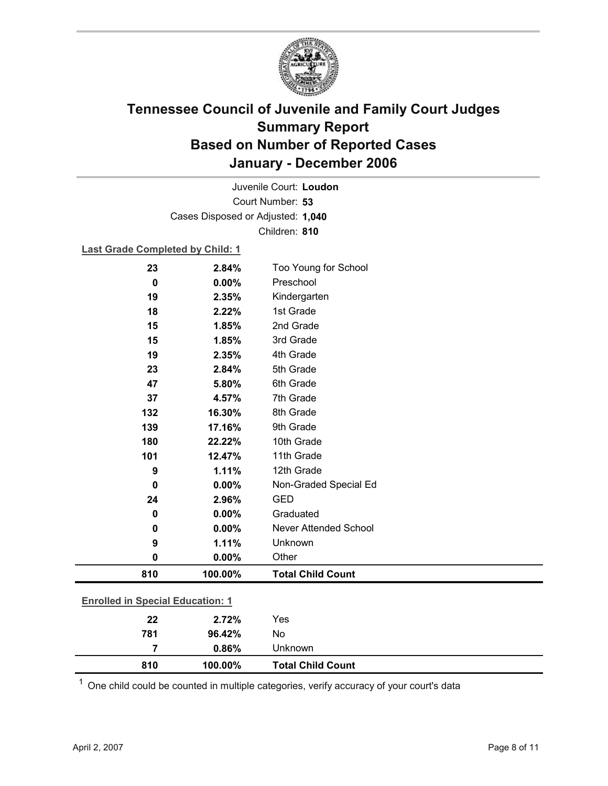

Court Number: **53** Juvenile Court: **Loudon** Cases Disposed or Adjusted: **1,040** Children: **810**

#### **Last Grade Completed by Child: 1**

| 23                                      | 2.84%   | Too Young for School         |
|-----------------------------------------|---------|------------------------------|
| 0                                       | 0.00%   | Preschool                    |
| 19                                      | 2.35%   | Kindergarten                 |
| 18                                      | 2.22%   | 1st Grade                    |
| 15                                      | 1.85%   | 2nd Grade                    |
| 15                                      | 1.85%   | 3rd Grade                    |
| 19                                      | 2.35%   | 4th Grade                    |
| 23                                      | 2.84%   | 5th Grade                    |
| 47                                      | 5.80%   | 6th Grade                    |
| 37                                      | 4.57%   | 7th Grade                    |
| 132                                     | 16.30%  | 8th Grade                    |
| 139                                     | 17.16%  | 9th Grade                    |
| 180                                     | 22.22%  | 10th Grade                   |
| 101                                     | 12.47%  | 11th Grade                   |
| 9                                       | 1.11%   | 12th Grade                   |
| $\mathbf 0$                             | 0.00%   | Non-Graded Special Ed        |
| 24                                      | 2.96%   | <b>GED</b>                   |
| 0                                       | 0.00%   | Graduated                    |
| 0                                       | 0.00%   | <b>Never Attended School</b> |
| 9                                       | 1.11%   | Unknown                      |
| 0                                       | 0.00%   | Other                        |
| 810                                     | 100.00% | <b>Total Child Count</b>     |
| <b>Enrolled in Special Education: 1</b> |         |                              |
| 22                                      | 2.72%   | Yes                          |
| 781                                     | 96.42%  | No                           |

|     | 0.86%   | Unknown                  |  |
|-----|---------|--------------------------|--|
| 810 | 100.00% | <b>Total Child Count</b> |  |

 $1$  One child could be counted in multiple categories, verify accuracy of your court's data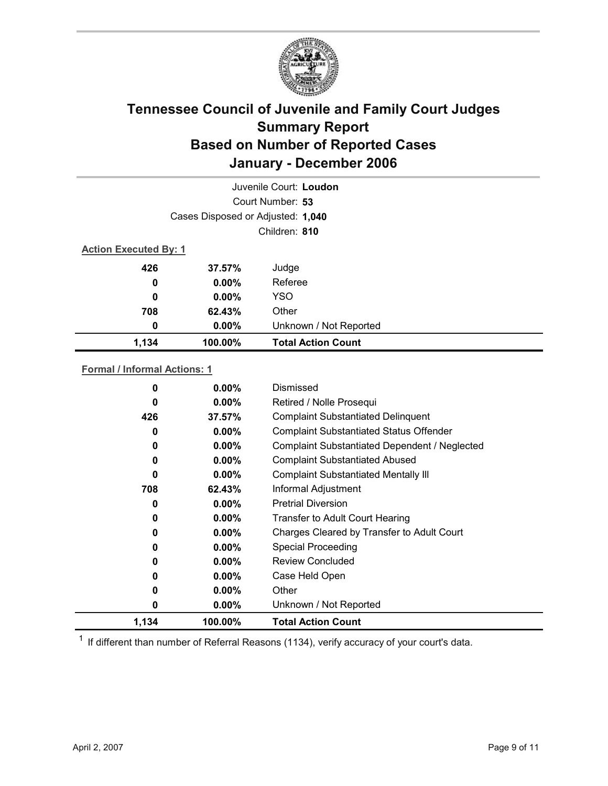

| Juvenile Court: Loudon       |                                   |                           |  |  |  |
|------------------------------|-----------------------------------|---------------------------|--|--|--|
|                              | Court Number: 53                  |                           |  |  |  |
|                              | Cases Disposed or Adjusted: 1,040 |                           |  |  |  |
|                              |                                   | Children: 810             |  |  |  |
| <b>Action Executed By: 1</b> |                                   |                           |  |  |  |
| 426                          | $37.57\%$                         | Judge                     |  |  |  |
| 0                            | $0.00\%$                          | Referee                   |  |  |  |
| 0                            | $0.00\%$                          | <b>YSO</b>                |  |  |  |
| 708                          | 62.43%                            | Other                     |  |  |  |
| 0                            | $0.00\%$                          | Unknown / Not Reported    |  |  |  |
| 1,134                        | 100.00%                           | <b>Total Action Count</b> |  |  |  |

### **Formal / Informal Actions: 1**

| 0     | $0.00\%$ | Dismissed                                      |
|-------|----------|------------------------------------------------|
| 0     | $0.00\%$ | Retired / Nolle Prosequi                       |
| 426   | 37.57%   | <b>Complaint Substantiated Delinquent</b>      |
| 0     | $0.00\%$ | <b>Complaint Substantiated Status Offender</b> |
| 0     | $0.00\%$ | Complaint Substantiated Dependent / Neglected  |
| 0     | $0.00\%$ | <b>Complaint Substantiated Abused</b>          |
| 0     | $0.00\%$ | <b>Complaint Substantiated Mentally III</b>    |
| 708   | 62.43%   | Informal Adjustment                            |
| 0     | $0.00\%$ | <b>Pretrial Diversion</b>                      |
| 0     | $0.00\%$ | Transfer to Adult Court Hearing                |
| 0     | $0.00\%$ | Charges Cleared by Transfer to Adult Court     |
| 0     | $0.00\%$ | <b>Special Proceeding</b>                      |
| 0     | $0.00\%$ | Review Concluded                               |
| 0     | $0.00\%$ | Case Held Open                                 |
| 0     | $0.00\%$ | Other                                          |
| 0     | $0.00\%$ | Unknown / Not Reported                         |
| 1,134 | 100.00%  | <b>Total Action Count</b>                      |

 $1$  If different than number of Referral Reasons (1134), verify accuracy of your court's data.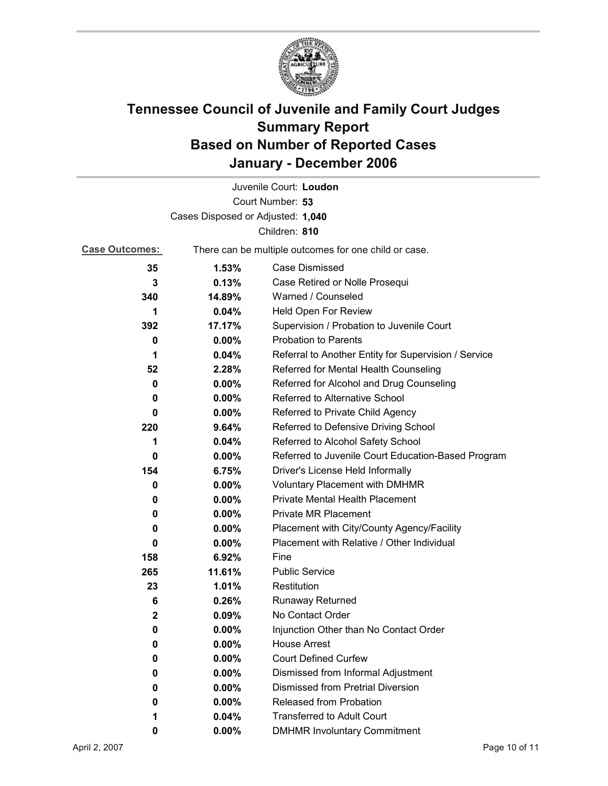

|                                   |          | Juvenile Court: Loudon                                |  |  |
|-----------------------------------|----------|-------------------------------------------------------|--|--|
|                                   |          | Court Number: 53                                      |  |  |
| Cases Disposed or Adjusted: 1,040 |          |                                                       |  |  |
| Children: 810                     |          |                                                       |  |  |
| <b>Case Outcomes:</b>             |          | There can be multiple outcomes for one child or case. |  |  |
| 35                                | 1.53%    | Case Dismissed                                        |  |  |
| 3                                 | 0.13%    | Case Retired or Nolle Prosequi                        |  |  |
| 340                               | 14.89%   | Warned / Counseled                                    |  |  |
| 1                                 | 0.04%    | Held Open For Review                                  |  |  |
| 392                               | 17.17%   | Supervision / Probation to Juvenile Court             |  |  |
| 0                                 | 0.00%    | <b>Probation to Parents</b>                           |  |  |
| 1                                 | 0.04%    | Referral to Another Entity for Supervision / Service  |  |  |
| 52                                | 2.28%    | Referred for Mental Health Counseling                 |  |  |
| 0                                 | $0.00\%$ | Referred for Alcohol and Drug Counseling              |  |  |
| 0                                 | $0.00\%$ | <b>Referred to Alternative School</b>                 |  |  |
| 0                                 | $0.00\%$ | Referred to Private Child Agency                      |  |  |
| 220                               | 9.64%    | Referred to Defensive Driving School                  |  |  |
| 1                                 | 0.04%    | Referred to Alcohol Safety School                     |  |  |
| 0                                 | $0.00\%$ | Referred to Juvenile Court Education-Based Program    |  |  |
| 154                               | 6.75%    | Driver's License Held Informally                      |  |  |
| 0                                 | $0.00\%$ | <b>Voluntary Placement with DMHMR</b>                 |  |  |
| 0                                 | $0.00\%$ | <b>Private Mental Health Placement</b>                |  |  |
| 0                                 | $0.00\%$ | <b>Private MR Placement</b>                           |  |  |
| 0                                 | $0.00\%$ | Placement with City/County Agency/Facility            |  |  |
| 0                                 | $0.00\%$ | Placement with Relative / Other Individual            |  |  |
| 158                               | 6.92%    | Fine                                                  |  |  |
| 265                               | 11.61%   | <b>Public Service</b>                                 |  |  |
| 23                                | 1.01%    | Restitution                                           |  |  |
| 6                                 | 0.26%    | Runaway Returned                                      |  |  |
| $\mathbf{2}$                      | 0.09%    | No Contact Order                                      |  |  |
| U                                 | 0.00%    | Injunction Other than No Contact Order                |  |  |
| 0                                 | $0.00\%$ | <b>House Arrest</b>                                   |  |  |
| 0                                 | $0.00\%$ | <b>Court Defined Curfew</b>                           |  |  |
| 0                                 | $0.00\%$ | Dismissed from Informal Adjustment                    |  |  |
| 0                                 | $0.00\%$ | <b>Dismissed from Pretrial Diversion</b>              |  |  |
| 0                                 | $0.00\%$ | <b>Released from Probation</b>                        |  |  |
| 1                                 | 0.04%    | <b>Transferred to Adult Court</b>                     |  |  |
| 0                                 | $0.00\%$ | <b>DMHMR Involuntary Commitment</b>                   |  |  |